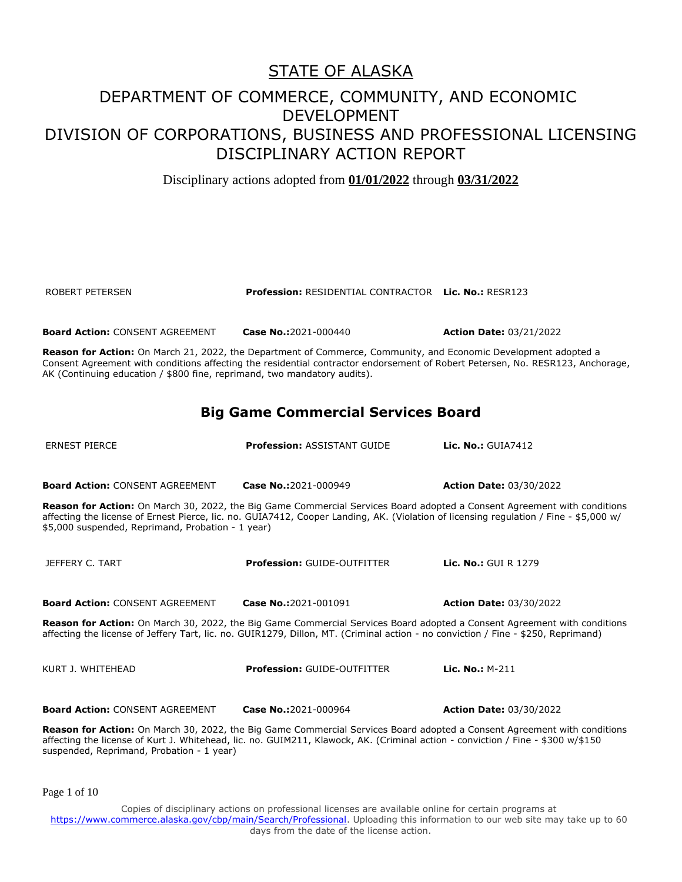Disciplinary actions adopted from **01/01/2022** through **03/31/2022**

ROBERT PETERSEN **Profession:** RESIDENTIAL CONTRACTOR **Lic. No.:** RESR123

**Board Action:** CONSENT AGREEMENT **Case No.:**2021-000440 **Action Date:** 03/21/2022 **Reason for Action:** On March 21, 2022, the Department of Commerce, Community, and Economic Development adopted a Consent Agreement with conditions affecting the residential contractor endorsement of Robert Petersen, No. RESR123, Anchorage, AK (Continuing education / \$800 fine, reprimand, two mandatory audits). **Big Game Commercial Services Board** ERNEST PIERCE **Profession:** ASSISTANT GUIDE **Lic. No.:** GUIA7412 **Board Action:** CONSENT AGREEMENT **Case No.:**2021-000949 **Action Date:** 03/30/2022 **Reason for Action:** On March 30, 2022, the Big Game Commercial Services Board adopted a Consent Agreement with conditions affecting the license of Ernest Pierce, lic. no. GUIA7412, Cooper Landing, AK. (Violation of licensing regulation / Fine - \$5,000 w/ \$5,000 suspended, Reprimand, Probation - 1 year) JEFFERY C. TART **Profession:** GUIDE-OUTFITTER **Lic. No.:** GUI R 1279 **Board Action:** CONSENT AGREEMENT **Case No.:**2021-001091 **Action Date:** 03/30/2022 **Reason for Action:** On March 30, 2022, the Big Game Commercial Services Board adopted a Consent Agreement with conditions affecting the license of Jeffery Tart, lic. no. GUIR1279, Dillon, MT. (Criminal action - no conviction / Fine - \$250, Reprimand)

KURT J. WHITEHEAD **Profession:** GUIDE-OUTFITTER **Lic. No.:** M-211

**Board Action:** CONSENT AGREEMENT **Case No.:**2021-000964 **Action Date:** 03/30/2022

**Reason for Action:** On March 30, 2022, the Big Game Commercial Services Board adopted a Consent Agreement with conditions affecting the license of Kurt J. Whitehead, lic. no. GUIM211, Klawock, AK. (Criminal action - conviction / Fine - \$300 w/\$150 suspended, Reprimand, Probation - 1 year)

Page 1 of 10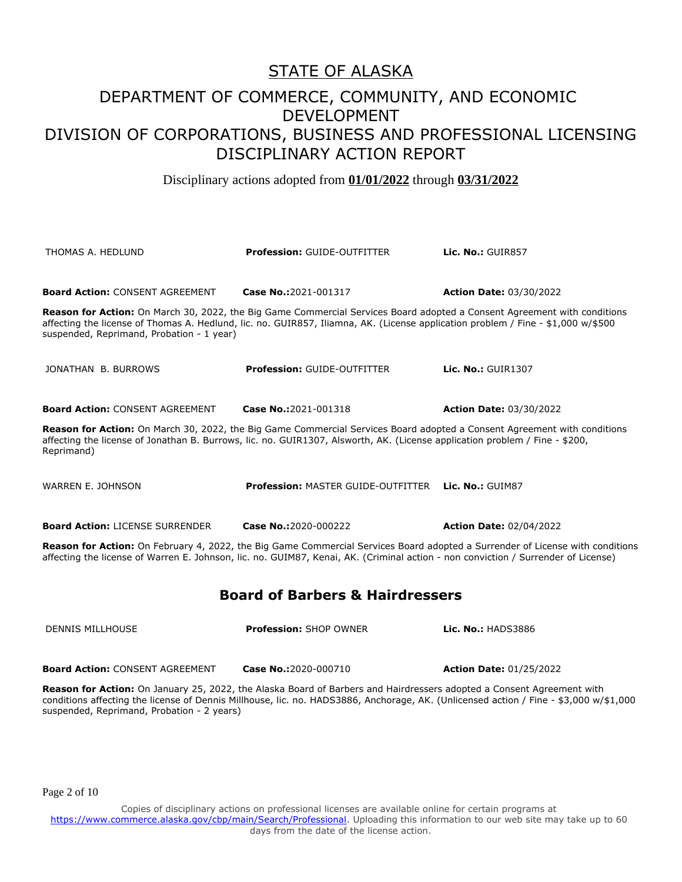Disciplinary actions adopted from **01/01/2022** through **03/31/2022**

| THOMAS A. HEDLUND                                                                                                                                                                                                                                                                                            | <b>Profession: GUIDE-OUTFITTER</b>                                                                                                                                                                                                                           | Lic. No.: GUIR857              |  |
|--------------------------------------------------------------------------------------------------------------------------------------------------------------------------------------------------------------------------------------------------------------------------------------------------------------|--------------------------------------------------------------------------------------------------------------------------------------------------------------------------------------------------------------------------------------------------------------|--------------------------------|--|
| <b>Board Action: CONSENT AGREEMENT</b>                                                                                                                                                                                                                                                                       | Case No.:2021-001317                                                                                                                                                                                                                                         | <b>Action Date: 03/30/2022</b> |  |
| suspended, Reprimand, Probation - 1 year)                                                                                                                                                                                                                                                                    | Reason for Action: On March 30, 2022, the Big Game Commercial Services Board adopted a Consent Agreement with conditions<br>affecting the license of Thomas A. Hedlund, lic. no. GUIR857, Iliamna, AK. (License application problem / Fine - \$1,000 w/\$500 |                                |  |
| JONATHAN B. BURROWS                                                                                                                                                                                                                                                                                          | <b>Profession: GUIDE-OUTFITTER</b>                                                                                                                                                                                                                           | Lic. No.: GUIR1307             |  |
| <b>Board Action: CONSENT AGREEMENT</b>                                                                                                                                                                                                                                                                       | Case No.:2021-001318                                                                                                                                                                                                                                         | <b>Action Date: 03/30/2022</b> |  |
| Reason for Action: On March 30, 2022, the Big Game Commercial Services Board adopted a Consent Agreement with conditions<br>affecting the license of Jonathan B. Burrows, lic. no. GUIR1307, Alsworth, AK. (License application problem / Fine - \$200,<br>Reprimand)                                        |                                                                                                                                                                                                                                                              |                                |  |
| WARREN E. JOHNSON                                                                                                                                                                                                                                                                                            | <b>Profession: MASTER GUIDE-OUTFITTER Lic. No.: GUIM87</b>                                                                                                                                                                                                   |                                |  |
| <b>Board Action: LICENSE SURRENDER</b>                                                                                                                                                                                                                                                                       | Case No.:2020-000222                                                                                                                                                                                                                                         | <b>Action Date: 02/04/2022</b> |  |
| Reason for Action: On February 4, 2022, the Big Game Commercial Services Board adopted a Surrender of License with conditions<br>affecting the license of Warren E. Johnson, lic. no. GUIM87, Kenai, AK. (Criminal action - non conviction / Surrender of License)                                           |                                                                                                                                                                                                                                                              |                                |  |
| <b>Board of Barbers &amp; Hairdressers</b>                                                                                                                                                                                                                                                                   |                                                                                                                                                                                                                                                              |                                |  |
| <b>DENNIS MILLHOUSE</b>                                                                                                                                                                                                                                                                                      | <b>Profession: SHOP OWNER</b>                                                                                                                                                                                                                                | <b>Lic. No.: HADS3886</b>      |  |
| <b>Board Action: CONSENT AGREEMENT</b>                                                                                                                                                                                                                                                                       | Case No.:2020-000710                                                                                                                                                                                                                                         | <b>Action Date: 01/25/2022</b> |  |
| Reason for Action: On January 25, 2022, the Alaska Board of Barbers and Hairdressers adopted a Consent Agreement with<br>conditions affecting the license of Dennis Millhouse, lic. no. HADS3886, Anchorage, AK. (Unlicensed action / Fine - \$3,000 w/\$1,000<br>suspended, Reprimand, Probation - 2 years) |                                                                                                                                                                                                                                                              |                                |  |

Page 2 of 10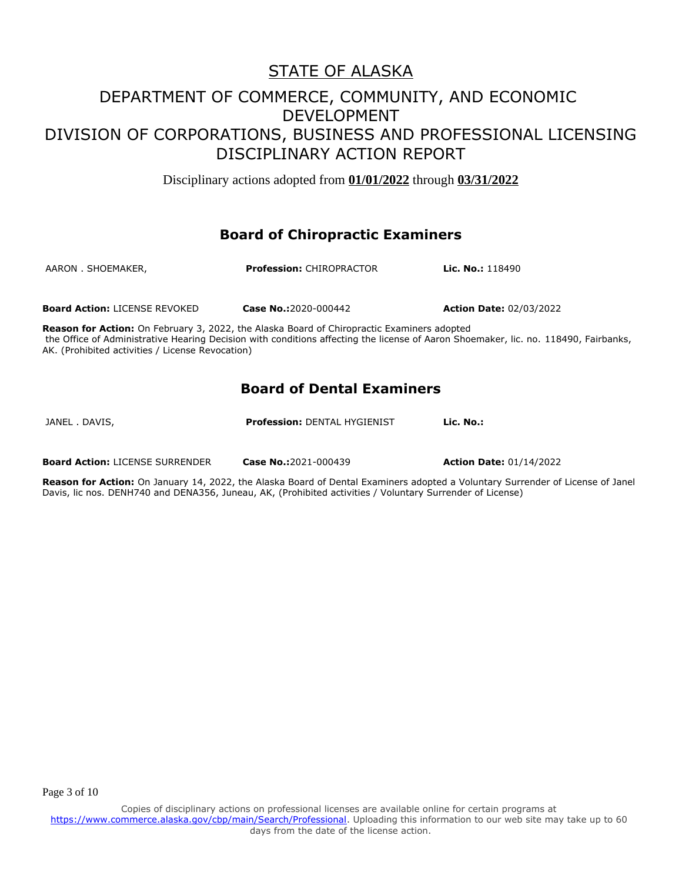Disciplinary actions adopted from **01/01/2022** through **03/31/2022**

#### **Board of Chiropractic Examiners**

| AARON . SHOEMAKER,                   | <b>Profession: CHIROPRACTOR</b> | <b>Lic. No.:</b> 118490        |
|--------------------------------------|---------------------------------|--------------------------------|
| <b>Board Action: LICENSE REVOKED</b> | Case No.:2020-000442            | <b>Action Date: 02/03/2022</b> |

**Reason for Action:** On February 3, 2022, the Alaska Board of Chiropractic Examiners adopted the Office of Administrative Hearing Decision with conditions affecting the license of Aaron Shoemaker, lic. no. 118490, Fairbanks, AK. (Prohibited activities / License Revocation)

#### **Board of Dental Examiners**

JANEL . DAVIS, **Profession:** DENTAL HYGIENIST **Lic. No.:** 

**Board Action:** LICENSE SURRENDER **Case No.:**2021-000439 **Action Date:** 01/14/2022

**Reason for Action:** On January 14, 2022, the Alaska Board of Dental Examiners adopted a Voluntary Surrender of License of Janel Davis, lic nos. DENH740 and DENA356, Juneau, AK, (Prohibited activities / Voluntary Surrender of License)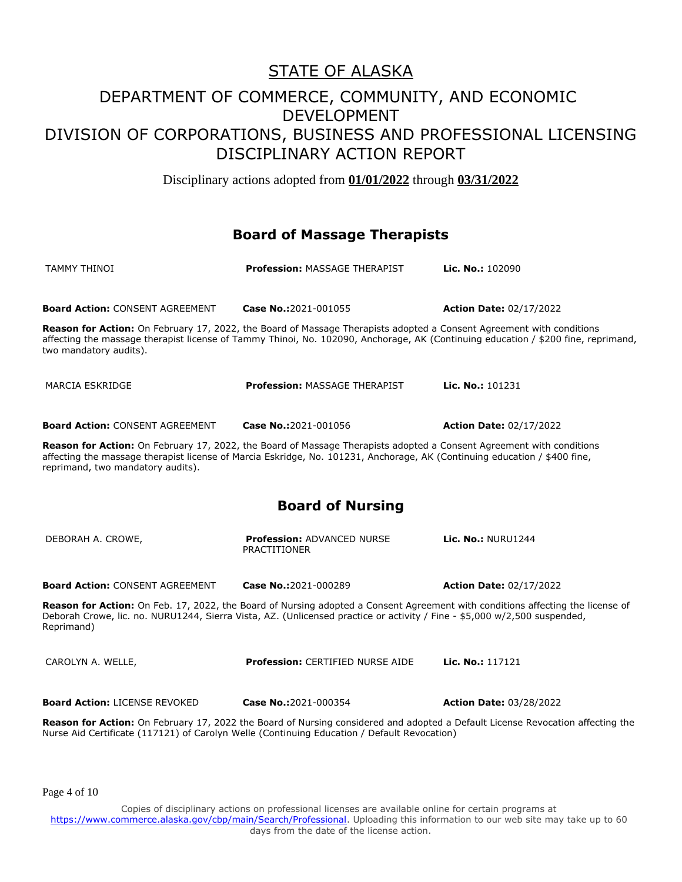Disciplinary actions adopted from **01/01/2022** through **03/31/2022**

#### **Board of Massage Therapists**

| TAMMY THINOI                                                                                                                                                                                                                                                                           | <b>Profession: MASSAGE THERAPIST</b>                     | Lic. No.: 102090               |  |
|----------------------------------------------------------------------------------------------------------------------------------------------------------------------------------------------------------------------------------------------------------------------------------------|----------------------------------------------------------|--------------------------------|--|
| <b>Board Action: CONSENT AGREEMENT</b>                                                                                                                                                                                                                                                 | Case No.:2021-001055                                     | <b>Action Date: 02/17/2022</b> |  |
| Reason for Action: On February 17, 2022, the Board of Massage Therapists adopted a Consent Agreement with conditions<br>affecting the massage therapist license of Tammy Thinoi, No. 102090, Anchorage, AK (Continuing education / \$200 fine, reprimand,<br>two mandatory audits).    |                                                          |                                |  |
| MARCIA ESKRIDGE                                                                                                                                                                                                                                                                        | <b>Profession: MASSAGE THERAPIST</b>                     | Lic. No.: 101231               |  |
| <b>Board Action: CONSENT AGREEMENT</b>                                                                                                                                                                                                                                                 | Case No.:2021-001056                                     | <b>Action Date: 02/17/2022</b> |  |
| Reason for Action: On February 17, 2022, the Board of Massage Therapists adopted a Consent Agreement with conditions<br>affecting the massage therapist license of Marcia Eskridge, No. 101231, Anchorage, AK (Continuing education / \$400 fine,<br>reprimand, two mandatory audits). |                                                          |                                |  |
| <b>Board of Nursing</b>                                                                                                                                                                                                                                                                |                                                          |                                |  |
| DEBORAH A. CROWE,                                                                                                                                                                                                                                                                      | <b>Profession: ADVANCED NURSE</b><br><b>PRACTITIONER</b> | <b>Lic. No.: NURU1244</b>      |  |
| <b>Board Action: CONSENT AGREEMENT</b>                                                                                                                                                                                                                                                 | Case No.:2021-000289                                     | <b>Action Date: 02/17/2022</b> |  |
| Reason for Action: On Feb. 17, 2022, the Board of Nursing adopted a Consent Agreement with conditions affecting the license of<br>Deborah Crowe, lic. no. NURU1244, Sierra Vista, AZ. (Unlicensed practice or activity / Fine - \$5,000 w/2,500 suspended,<br>Reprimand)               |                                                          |                                |  |
| CAROLYN A. WELLE,                                                                                                                                                                                                                                                                      | <b>Profession: CERTIFIED NURSE AIDE</b>                  | Lic. No.: 117121               |  |
| <b>Board Action: LICENSE REVOKED</b>                                                                                                                                                                                                                                                   | Case No.:2021-000354                                     | <b>Action Date: 03/28/2022</b> |  |
| Reason for Action: On February 17, 2022 the Board of Nursing considered and adopted a Default License Revocation affecting the<br>Nurse Aid Certificate (117121) of Carolyn Welle (Continuing Education / Default Revocation)                                                          |                                                          |                                |  |

Page 4 of 10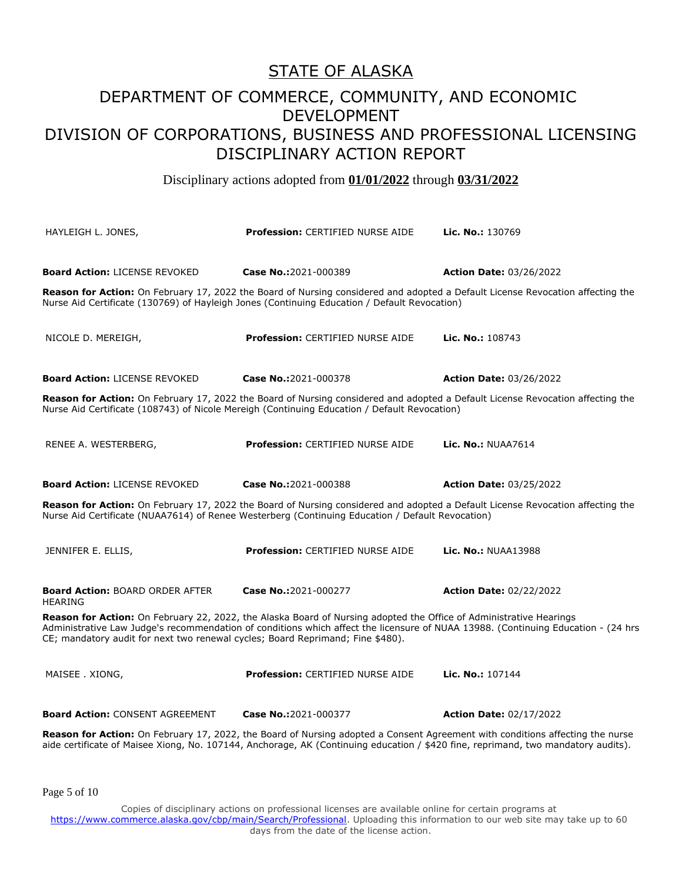#### STATE OF ALASKA

### DEPARTMENT OF COMMERCE, COMMUNITY, AND ECONOMIC DEVELOPMENT DIVISION OF CORPORATIONS, BUSINESS AND PROFESSIONAL LICENSING DISCIPLINARY ACTION REPORT

Disciplinary actions adopted from **01/01/2022** through **03/31/2022**

| HAYLEIGH L. JONES,                                                                                                                                                                                                                 | <b>Profession: CERTIFIED NURSE AIDE</b>                                                                            | Lic. No.: 130769                                                                                                                                                                                                                                                   |  |
|------------------------------------------------------------------------------------------------------------------------------------------------------------------------------------------------------------------------------------|--------------------------------------------------------------------------------------------------------------------|--------------------------------------------------------------------------------------------------------------------------------------------------------------------------------------------------------------------------------------------------------------------|--|
| <b>Board Action: LICENSE REVOKED</b>                                                                                                                                                                                               | Case No.:2021-000389                                                                                               | <b>Action Date: 03/26/2022</b>                                                                                                                                                                                                                                     |  |
|                                                                                                                                                                                                                                    | Nurse Aid Certificate (130769) of Hayleigh Jones (Continuing Education / Default Revocation)                       | Reason for Action: On February 17, 2022 the Board of Nursing considered and adopted a Default License Revocation affecting the                                                                                                                                     |  |
| NICOLE D. MEREIGH,                                                                                                                                                                                                                 | <b>Profession: CERTIFIED NURSE AIDE</b>                                                                            | Lic. No.: 108743                                                                                                                                                                                                                                                   |  |
| <b>Board Action: LICENSE REVOKED</b>                                                                                                                                                                                               | Case No.:2021-000378                                                                                               | <b>Action Date: 03/26/2022</b>                                                                                                                                                                                                                                     |  |
| Reason for Action: On February 17, 2022 the Board of Nursing considered and adopted a Default License Revocation affecting the<br>Nurse Aid Certificate (108743) of Nicole Mereigh (Continuing Education / Default Revocation)     |                                                                                                                    |                                                                                                                                                                                                                                                                    |  |
| RENEE A. WESTERBERG,                                                                                                                                                                                                               | <b>Profession: CERTIFIED NURSE AIDE</b>                                                                            | <b>Lic. No.: NUAA7614</b>                                                                                                                                                                                                                                          |  |
| <b>Board Action: LICENSE REVOKED</b>                                                                                                                                                                                               | Case No.:2021-000388                                                                                               | <b>Action Date: 03/25/2022</b>                                                                                                                                                                                                                                     |  |
| Reason for Action: On February 17, 2022 the Board of Nursing considered and adopted a Default License Revocation affecting the<br>Nurse Aid Certificate (NUAA7614) of Renee Westerberg (Continuing Education / Default Revocation) |                                                                                                                    |                                                                                                                                                                                                                                                                    |  |
| JENNIFER E. ELLIS,                                                                                                                                                                                                                 | <b>Profession: CERTIFIED NURSE AIDE</b>                                                                            | <b>Lic. No.: NUAA13988</b>                                                                                                                                                                                                                                         |  |
| <b>Board Action: BOARD ORDER AFTER</b><br><b>HEARING</b>                                                                                                                                                                           | Case No.:2021-000277                                                                                               | <b>Action Date: 02/22/2022</b>                                                                                                                                                                                                                                     |  |
| CE; mandatory audit for next two renewal cycles; Board Reprimand; Fine \$480).                                                                                                                                                     | Reason for Action: On February 22, 2022, the Alaska Board of Nursing adopted the Office of Administrative Hearings | Administrative Law Judge's recommendation of conditions which affect the licensure of NUAA 13988. (Continuing Education - (24 hrs                                                                                                                                  |  |
| MAISEE. XIONG,                                                                                                                                                                                                                     | <b>Profession: CERTIFIED NURSE AIDE</b>                                                                            | Lic. No.: 107144                                                                                                                                                                                                                                                   |  |
| <b>Board Action: CONSENT AGREEMENT</b>                                                                                                                                                                                             | Case No.:2021-000377                                                                                               | <b>Action Date: 02/17/2022</b>                                                                                                                                                                                                                                     |  |
|                                                                                                                                                                                                                                    |                                                                                                                    | Reason for Action: On February 17, 2022, the Board of Nursing adopted a Consent Agreement with conditions affecting the nurse<br>aide certificate of Maisee Xiong, No. 107144, Anchorage, AK (Continuing education / \$420 fine, reprimand, two mandatory audits). |  |

Page 5 of 10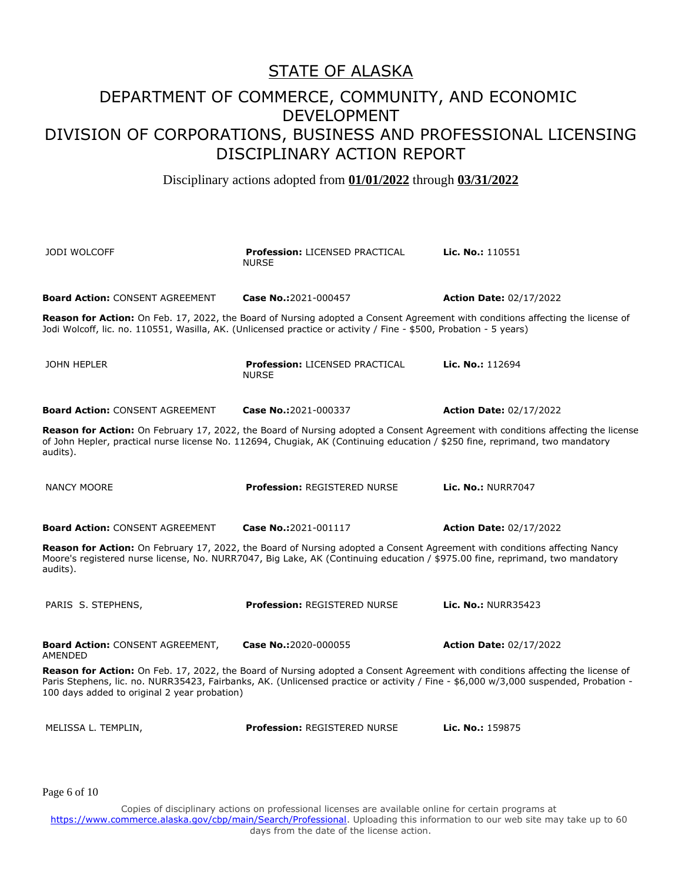Disciplinary actions adopted from **01/01/2022** through **03/31/2022**

| <b>JODI WOLCOFF</b>                                                                                                                                                                                                                                                                                                   | <b>Profession: LICENSED PRACTICAL</b><br><b>NURSE</b> | Lic. No.: 110551               |  |
|-----------------------------------------------------------------------------------------------------------------------------------------------------------------------------------------------------------------------------------------------------------------------------------------------------------------------|-------------------------------------------------------|--------------------------------|--|
| <b>Board Action: CONSENT AGREEMENT</b>                                                                                                                                                                                                                                                                                | Case No.:2021-000457                                  | <b>Action Date: 02/17/2022</b> |  |
| Reason for Action: On Feb. 17, 2022, the Board of Nursing adopted a Consent Agreement with conditions affecting the license of<br>Jodi Wolcoff, lic. no. 110551, Wasilla, AK. (Unlicensed practice or activity / Fine - \$500, Probation - 5 years)                                                                   |                                                       |                                |  |
| <b>JOHN HEPLER</b>                                                                                                                                                                                                                                                                                                    | <b>Profession: LICENSED PRACTICAL</b><br><b>NURSE</b> | Lic. No.: 112694               |  |
| <b>Board Action: CONSENT AGREEMENT</b>                                                                                                                                                                                                                                                                                | Case No.:2021-000337                                  | <b>Action Date: 02/17/2022</b> |  |
| Reason for Action: On February 17, 2022, the Board of Nursing adopted a Consent Agreement with conditions affecting the license<br>of John Hepler, practical nurse license No. 112694, Chugiak, AK (Continuing education / \$250 fine, reprimand, two mandatory<br>audits).                                           |                                                       |                                |  |
| <b>NANCY MOORE</b>                                                                                                                                                                                                                                                                                                    | Profession: REGISTERED NURSE                          | <b>Lic. No.: NURR7047</b>      |  |
| <b>Board Action: CONSENT AGREEMENT</b>                                                                                                                                                                                                                                                                                | Case No.:2021-001117                                  | <b>Action Date: 02/17/2022</b> |  |
| Reason for Action: On February 17, 2022, the Board of Nursing adopted a Consent Agreement with conditions affecting Nancy<br>Moore's registered nurse license, No. NURR7047, Big Lake, AK (Continuing education / \$975.00 fine, reprimand, two mandatory<br>audits).                                                 |                                                       |                                |  |
| PARIS S. STEPHENS,                                                                                                                                                                                                                                                                                                    | <b>Profession: REGISTERED NURSE</b>                   | Lic. No.: NURR35423            |  |
| <b>Board Action: CONSENT AGREEMENT,</b><br>AMENDED                                                                                                                                                                                                                                                                    | Case No.:2020-000055                                  | <b>Action Date: 02/17/2022</b> |  |
| Reason for Action: On Feb. 17, 2022, the Board of Nursing adopted a Consent Agreement with conditions affecting the license of<br>Paris Stephens, lic. no. NURR35423, Fairbanks, AK. (Unlicensed practice or activity / Fine - \$6,000 w/3,000 suspended, Probation -<br>100 days added to original 2 year probation) |                                                       |                                |  |
| MELISSA L. TEMPLIN,                                                                                                                                                                                                                                                                                                   | <b>Profession: REGISTERED NURSE</b>                   | Lic. No.: 159875               |  |

Page 6 of 10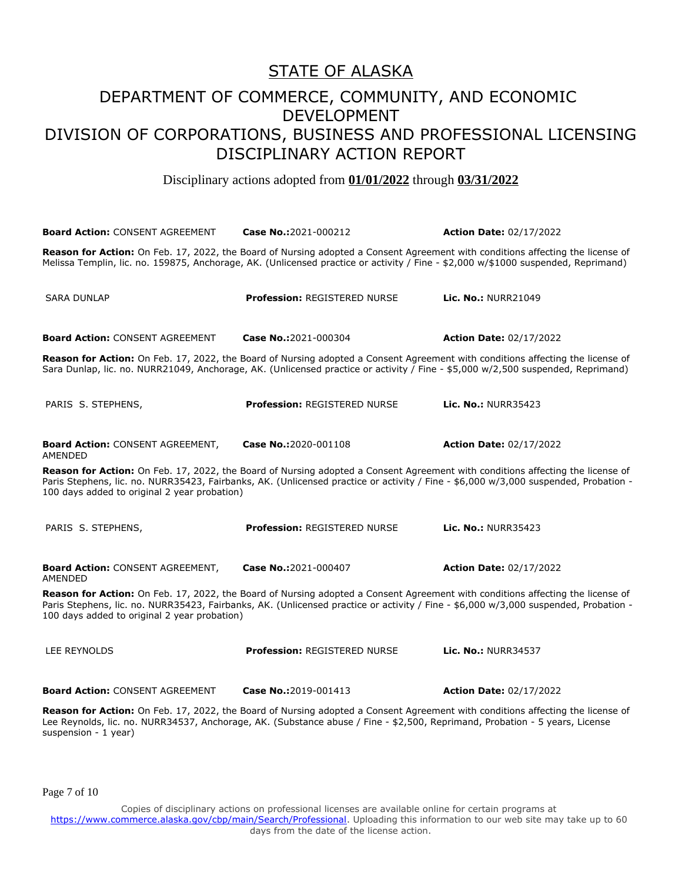#### STATE OF ALASKA

### DEPARTMENT OF COMMERCE, COMMUNITY, AND ECONOMIC DEVELOPMENT DIVISION OF CORPORATIONS, BUSINESS AND PROFESSIONAL LICENSING DISCIPLINARY ACTION REPORT

Disciplinary actions adopted from **01/01/2022** through **03/31/2022**

| <b>Board Action: CONSENT AGREEMENT</b>                                                                                                                                                                                                                                                                                | Case No.:2021-000212                                                                                                                                                                                                                                                | <b>Action Date: 02/17/2022</b> |  |
|-----------------------------------------------------------------------------------------------------------------------------------------------------------------------------------------------------------------------------------------------------------------------------------------------------------------------|---------------------------------------------------------------------------------------------------------------------------------------------------------------------------------------------------------------------------------------------------------------------|--------------------------------|--|
|                                                                                                                                                                                                                                                                                                                       | Reason for Action: On Feb. 17, 2022, the Board of Nursing adopted a Consent Agreement with conditions affecting the license of<br>Melissa Templin, lic. no. 159875, Anchorage, AK. (Unlicensed practice or activity / Fine - \$2,000 w/\$1000 suspended, Reprimand) |                                |  |
| <b>SARA DUNLAP</b>                                                                                                                                                                                                                                                                                                    | Profession: REGISTERED NURSE                                                                                                                                                                                                                                        | <b>Lic. No.: NURR21049</b>     |  |
| <b>Board Action: CONSENT AGREEMENT</b>                                                                                                                                                                                                                                                                                | Case No.:2021-000304                                                                                                                                                                                                                                                | <b>Action Date: 02/17/2022</b> |  |
|                                                                                                                                                                                                                                                                                                                       | Reason for Action: On Feb. 17, 2022, the Board of Nursing adopted a Consent Agreement with conditions affecting the license of<br>Sara Dunlap, lic. no. NURR21049, Anchorage, AK. (Unlicensed practice or activity / Fine - \$5,000 w/2,500 suspended, Reprimand)   |                                |  |
| PARIS S. STEPHENS,                                                                                                                                                                                                                                                                                                    | Profession: REGISTERED NURSE                                                                                                                                                                                                                                        | <b>Lic. No.: NURR35423</b>     |  |
| <b>Board Action: CONSENT AGREEMENT,</b><br>AMENDED                                                                                                                                                                                                                                                                    | Case No.:2020-001108                                                                                                                                                                                                                                                | <b>Action Date: 02/17/2022</b> |  |
| Reason for Action: On Feb. 17, 2022, the Board of Nursing adopted a Consent Agreement with conditions affecting the license of<br>Paris Stephens, lic. no. NURR35423, Fairbanks, AK. (Unlicensed practice or activity / Fine - \$6,000 w/3,000 suspended, Probation -<br>100 days added to original 2 year probation) |                                                                                                                                                                                                                                                                     |                                |  |
| PARIS S. STEPHENS,                                                                                                                                                                                                                                                                                                    | <b>Profession: REGISTERED NURSE</b>                                                                                                                                                                                                                                 | <b>Lic. No.: NURR35423</b>     |  |
| <b>Board Action: CONSENT AGREEMENT,</b><br>AMENDED                                                                                                                                                                                                                                                                    | Case No.:2021-000407                                                                                                                                                                                                                                                | <b>Action Date: 02/17/2022</b> |  |
| Reason for Action: On Feb. 17, 2022, the Board of Nursing adopted a Consent Agreement with conditions affecting the license of<br>Paris Stephens, lic. no. NURR35423, Fairbanks, AK. (Unlicensed practice or activity / Fine - \$6,000 w/3,000 suspended, Probation -<br>100 days added to original 2 year probation) |                                                                                                                                                                                                                                                                     |                                |  |
| LEE REYNOLDS                                                                                                                                                                                                                                                                                                          | Profession: REGISTERED NURSE                                                                                                                                                                                                                                        | <b>Lic. No.: NURR34537</b>     |  |
| <b>Board Action: CONSENT AGREEMENT Case No.:2019-001413</b>                                                                                                                                                                                                                                                           |                                                                                                                                                                                                                                                                     | <b>Action Date: 02/17/2022</b> |  |
|                                                                                                                                                                                                                                                                                                                       | control for Antique Or Feb. 47, 2022, the Board of Ningham advanced a Occasion American internality of forthcomplete theory of                                                                                                                                      |                                |  |

**Reason for Action:** On Feb. 17, 2022, the Board of Nursing adopted a Consent Agreement with conditions affecting the license of Lee Reynolds, lic. no. NURR34537, Anchorage, AK. (Substance abuse / Fine - \$2,500, Reprimand, Probation - 5 years, License suspension - 1 year)

Page 7 of 10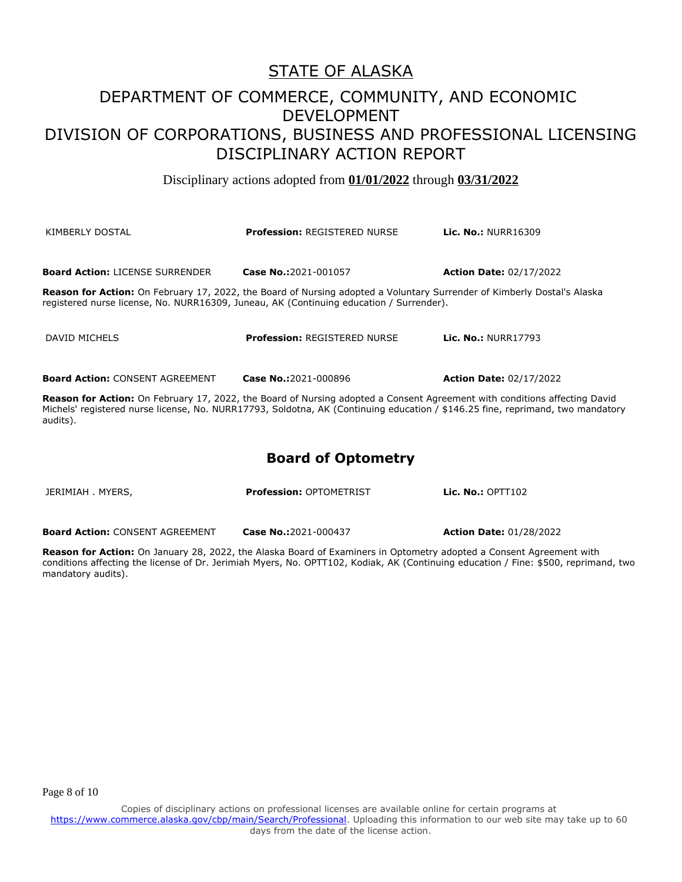Disciplinary actions adopted from **01/01/2022** through **03/31/2022**

| KIMBERLY DOSTAL                                                                                                                                                                                                           | <b>Profession: REGISTERED NURSE</b>                                                                                     | <b>Lic. No.: NURR16309</b>     |  |
|---------------------------------------------------------------------------------------------------------------------------------------------------------------------------------------------------------------------------|-------------------------------------------------------------------------------------------------------------------------|--------------------------------|--|
| <b>Board Action: LICENSE SURRENDER</b>                                                                                                                                                                                    | Case No.:2021-001057                                                                                                    | <b>Action Date: 02/17/2022</b> |  |
| <b>Reason for Action:</b> On February 17, 2022, the Board of Nursing adopted a Voluntary Surrender of Kimberly Dostal's Alaska<br>registered nurse license, No. NURR16309, Juneau, AK (Continuing education / Surrender). |                                                                                                                         |                                |  |
| DAVID MICHELS                                                                                                                                                                                                             | <b>Profession: REGISTERED NURSE</b>                                                                                     | <b>Lic. No.: NURR17793</b>     |  |
|                                                                                                                                                                                                                           |                                                                                                                         |                                |  |
| <b>Board Action: CONSENT AGREEMENT</b>                                                                                                                                                                                    | Case No.:2021-000896                                                                                                    | <b>Action Date: 02/17/2022</b> |  |
|                                                                                                                                                                                                                           | Bessen for Astism: On February 17, 2022, the Beard of Nursing adopted a Consent Agreement with senditions offerting Day |                                |  |

**Reason for Action:** On February 17, 2022, the Board of Nursing adopted a Consent Agreement with conditions affecting David Michels' registered nurse license, No. NURR17793, Soldotna, AK (Continuing education / \$146.25 fine, reprimand, two mandatory audits).

#### **Board of Optometry**

JERIMIAH . MYERS, **Profession:** OPTOMETRIST **Lic. No.:** OPTT102 **Board Action:** CONSENT AGREEMENT **Case No.:**2021-000437 **Action Date:** 01/28/2022

**Reason for Action:** On January 28, 2022, the Alaska Board of Examiners in Optometry adopted a Consent Agreement with conditions affecting the license of Dr. Jerimiah Myers, No. OPTT102, Kodiak, AK (Continuing education / Fine: \$500, reprimand, two mandatory audits).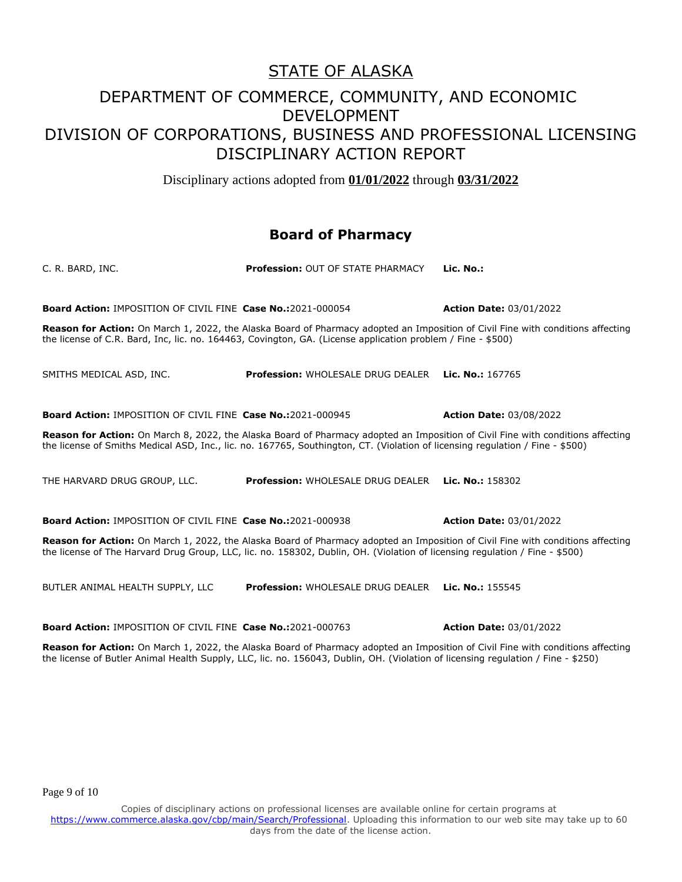Disciplinary actions adopted from **01/01/2022** through **03/31/2022**

#### **Board of Pharmacy**

| C. R. BARD, INC.                                                                                                                                                                                                                                                 | <b>Profession: OUT OF STATE PHARMACY</b>                  | Lic. No.:                      |  |
|------------------------------------------------------------------------------------------------------------------------------------------------------------------------------------------------------------------------------------------------------------------|-----------------------------------------------------------|--------------------------------|--|
| <b>Board Action: IMPOSITION OF CIVIL FINE Case No.:2021-000054</b>                                                                                                                                                                                               |                                                           | <b>Action Date: 03/01/2022</b> |  |
| <b>Reason for Action:</b> On March 1, 2022, the Alaska Board of Pharmacy adopted an Imposition of Civil Fine with conditions affecting<br>the license of C.R. Bard, Inc, lic. no. 164463, Covington, GA. (License application problem / Fine - \$500)            |                                                           |                                |  |
| SMITHS MEDICAL ASD, INC.                                                                                                                                                                                                                                         | <b>Profession: WHOLESALE DRUG DEALER</b>                  | Lic. No.: 167765               |  |
| <b>Board Action: IMPOSITION OF CIVIL FINE Case No.:2021-000945</b>                                                                                                                                                                                               |                                                           | <b>Action Date: 03/08/2022</b> |  |
| Reason for Action: On March 8, 2022, the Alaska Board of Pharmacy adopted an Imposition of Civil Fine with conditions affecting<br>the license of Smiths Medical ASD, Inc., lic. no. 167765, Southington, CT. (Violation of licensing regulation / Fine - \$500) |                                                           |                                |  |
| THE HARVARD DRUG GROUP, LLC.                                                                                                                                                                                                                                     | <b>Profession: WHOLESALE DRUG DEALER</b>                  | Lic. No.: $158302$             |  |
| <b>Board Action: IMPOSITION OF CIVIL FINE Case No.:2021-000938</b>                                                                                                                                                                                               |                                                           | <b>Action Date: 03/01/2022</b> |  |
| Reason for Action: On March 1, 2022, the Alaska Board of Pharmacy adopted an Imposition of Civil Fine with conditions affecting<br>the license of The Harvard Drug Group, LLC, lic. no. 158302, Dublin, OH. (Violation of licensing regulation / Fine - \$500)   |                                                           |                                |  |
| BUTLER ANIMAL HEALTH SUPPLY, LLC                                                                                                                                                                                                                                 | <b>Profession: WHOLESALE DRUG DEALER Lic. No.: 155545</b> |                                |  |

**Board Action:** IMPOSITION OF CIVIL FINE **Case No.:**2021-000763 **Action Date:** 03/01/2022

**Reason for Action:** On March 1, 2022, the Alaska Board of Pharmacy adopted an Imposition of Civil Fine with conditions affecting the license of Butler Animal Health Supply, LLC, lic. no. 156043, Dublin, OH. (Violation of licensing regulation / Fine - \$250)